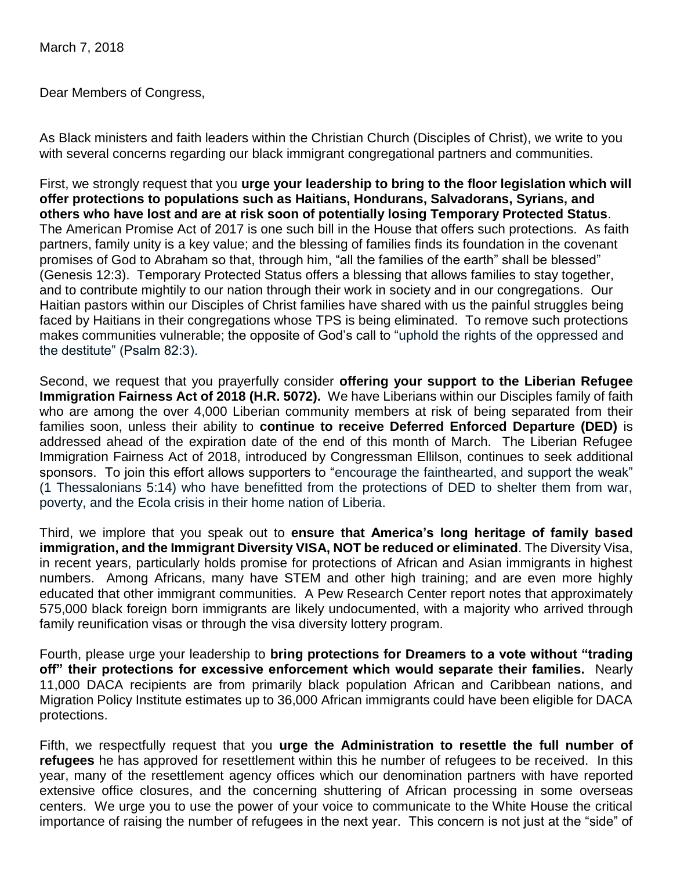March 7, 2018

Dear Members of Congress,

As Black ministers and faith leaders within the Christian Church (Disciples of Christ), we write to you with several concerns regarding our black immigrant congregational partners and communities.

First, we strongly request that you **urge your leadership to bring to the floor legislation which will offer protections to populations such as Haitians, Hondurans, Salvadorans, Syrians, and others who have lost and are at risk soon of potentially losing Temporary Protected Status**. The American Promise Act of 2017 is one such bill in the House that offers such protections. As faith partners, family unity is a key value; and the blessing of families finds its foundation in the covenant promises of God to Abraham so that, through him, "all the families of the earth" shall be blessed" (Genesis 12:3). Temporary Protected Status offers a blessing that allows families to stay together, and to contribute mightily to our nation through their work in society and in our congregations. Our Haitian pastors within our Disciples of Christ families have shared with us the painful struggles being faced by Haitians in their congregations whose TPS is being eliminated. To remove such protections makes communities vulnerable; the opposite of God's call to "uphold the rights of the oppressed and the destitute" (Psalm 82:3).

Second, we request that you prayerfully consider **offering your support to the Liberian Refugee Immigration Fairness Act of 2018 (H.R. 5072).** We have Liberians within our Disciples family of faith who are among the over 4,000 Liberian community members at risk of being separated from their families soon, unless their ability to **continue to receive Deferred Enforced Departure (DED)** is addressed ahead of the expiration date of the end of this month of March. The Liberian Refugee Immigration Fairness Act of 2018, introduced by Congressman Ellilson, continues to seek additional sponsors. To join this effort allows supporters to "encourage the fainthearted, and support the weak" (1 Thessalonians 5:14) who have benefitted from the protections of DED to shelter them from war, poverty, and the Ecola crisis in their home nation of Liberia.

Third, we implore that you speak out to **ensure that America's long heritage of family based immigration, and the Immigrant Diversity VISA, NOT be reduced or eliminated**. The Diversity Visa, in recent years, particularly holds promise for protections of African and Asian immigrants in highest numbers. Among Africans, many have STEM and other high training; and are even more highly educated that other immigrant communities. A Pew Research Center report notes that approximately 575,000 black foreign born immigrants are likely undocumented, with a majority who arrived through family reunification visas or through the visa diversity lottery program.

Fourth, please urge your leadership to **bring protections for Dreamers to a vote without "trading off" their protections for excessive enforcement which would separate their families.** Nearly 11,000 DACA recipients are from primarily black population African and Caribbean nations, and Migration Policy Institute estimates up to 36,000 African immigrants could have been eligible for DACA protections.

Fifth, we respectfully request that you **urge the Administration to resettle the full number of refugees** he has approved for resettlement within this he number of refugees to be received. In this year, many of the resettlement agency offices which our denomination partners with have reported extensive office closures, and the concerning shuttering of African processing in some overseas centers. We urge you to use the power of your voice to communicate to the White House the critical importance of raising the number of refugees in the next year. This concern is not just at the "side" of